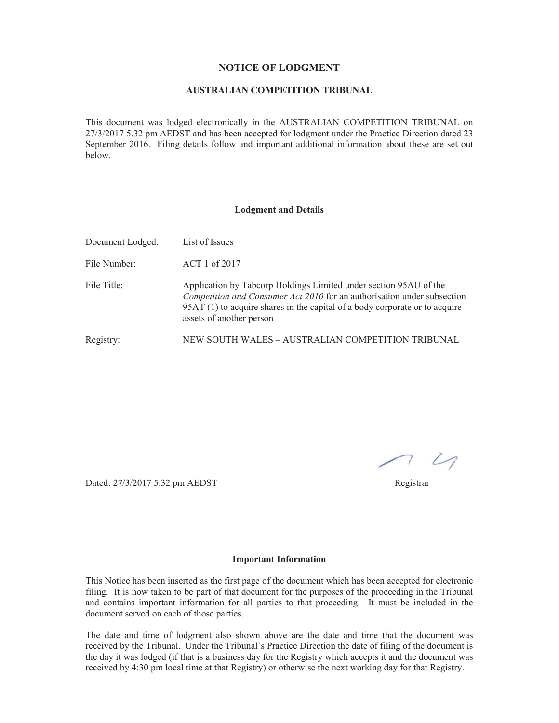#### **NOTICE OF LODGMENT**

### **AUSTRALIAN COMPETITION TRIBUNAL**

This document was lodged electronically in the AUSTRALIAN COMPETITION TRIBUNAL on 27/3/2017 5.32 pm AEDST and has been accepted for lodgment under the Practice Direction dated 23 September 2016. Filing details follow and important additional information about these are set out below.

#### **Lodgment and Details**

| Document Lodged: | List of Issues                                                                                                                                                                                                                                          |
|------------------|---------------------------------------------------------------------------------------------------------------------------------------------------------------------------------------------------------------------------------------------------------|
| File Number:     | ACT 1 of 2017                                                                                                                                                                                                                                           |
| File Title:      | Application by Tabcorp Holdings Limited under section 95AU of the<br>Competition and Consumer Act 2010 for an authorisation under subsection<br>95AT (1) to acquire shares in the capital of a body corporate or to acquire<br>assets of another person |
| Registry:        | NEW SOUTH WALES – AUSTRALIAN COMPETITION TRIBUNAL                                                                                                                                                                                                       |

 $7<sup>2</sup>$ 

Dated: 27/3/2017 5.32 pm AEDST Registrar

#### **Important Information**

This Notice has been inserted as the first page of the document which has been accepted for electronic filing. It is now taken to be part of that document for the purposes of the proceeding in the Tribunal and contains important information for all parties to that proceeding. It must be included in the document served on each of those parties.

The date and time of lodgment also shown above are the date and time that the document was received by the Tribunal. Under the Tribunal's Practice Direction the date of filing of the document is the day it was lodged (if that is a business day for the Registry which accepts it and the document was received by 4:30 pm local time at that Registry) or otherwise the next working day for that Registry.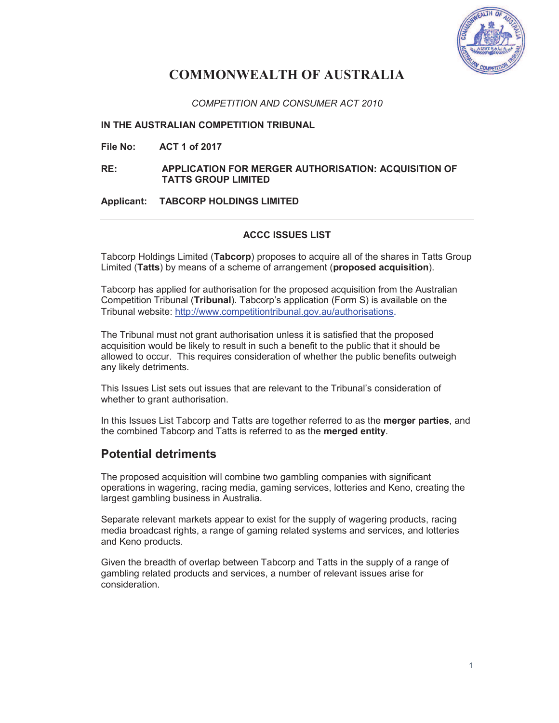

# **COMMONWEALTH OF AUSTRALIA**

*COMPETITION AND CONSUMER ACT 2010* 

**IN THE AUSTRALIAN COMPETITION TRIBUNAL** 

**File No: ACT 1 of 2017** 

**RE: APPLICATION FOR MERGER AUTHORISATION: ACQUISITION OF TATTS GROUP LIMITED** 

**Applicant: TABCORP HOLDINGS LIMITED** 

# **ACCC ISSUES LIST**

Tabcorp Holdings Limited (**Tabcorp**) proposes to acquire all of the shares in Tatts Group Limited (**Tatts**) by means of a scheme of arrangement (**proposed acquisition**).

Tabcorp has applied for authorisation for the proposed acquisition from the Australian Competition Tribunal (**Tribunal**). Tabcorp's application (Form S) is available on the Tribunal website: http://www.competitiontribunal.gov.au/authorisations.

The Tribunal must not grant authorisation unless it is satisfied that the proposed acquisition would be likely to result in such a benefit to the public that it should be allowed to occur. This requires consideration of whether the public benefits outweigh any likely detriments.

This Issues List sets out issues that are relevant to the Tribunal's consideration of whether to grant authorisation.

In this Issues List Tabcorp and Tatts are together referred to as the **merger parties**, and the combined Tabcorp and Tatts is referred to as the **merged entity**.

# **Potential detriments**

The proposed acquisition will combine two gambling companies with significant operations in wagering, racing media, gaming services, lotteries and Keno, creating the largest gambling business in Australia.

Separate relevant markets appear to exist for the supply of wagering products, racing media broadcast rights, a range of gaming related systems and services, and lotteries and Keno products.

Given the breadth of overlap between Tabcorp and Tatts in the supply of a range of gambling related products and services, a number of relevant issues arise for consideration.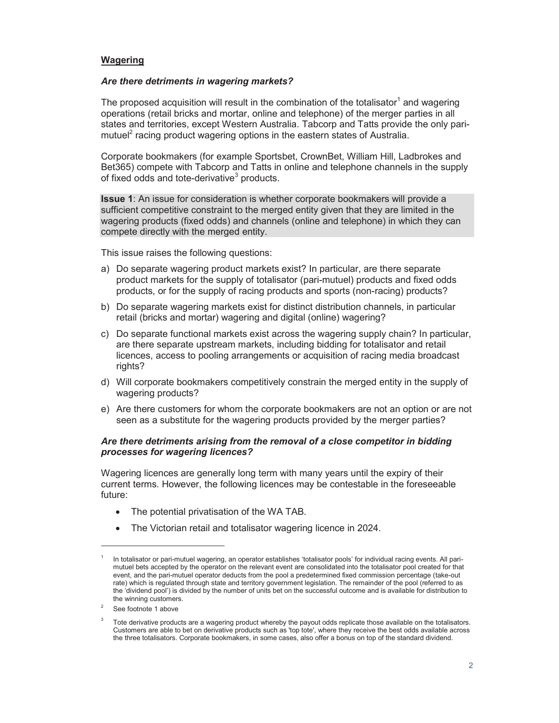#### **Wagering**

#### *Are there detriments in wagering markets?*

The proposed acquisition will result in the combination of the totalisator<sup>1</sup> and wagering operations (retail bricks and mortar, online and telephone) of the merger parties in all states and territories, except Western Australia. Tabcorp and Tatts provide the only parimutuel<sup>2</sup> racing product wagering options in the eastern states of Australia.

Corporate bookmakers (for example Sportsbet, CrownBet, William Hill, Ladbrokes and Bet365) compete with Tabcorp and Tatts in online and telephone channels in the supply of fixed odds and tote-derivative $3$  products.

**Issue 1**: An issue for consideration is whether corporate bookmakers will provide a sufficient competitive constraint to the merged entity given that they are limited in the wagering products (fixed odds) and channels (online and telephone) in which they can compete directly with the merged entity.

This issue raises the following questions:

- a) Do separate wagering product markets exist? In particular, are there separate product markets for the supply of totalisator (pari-mutuel) products and fixed odds products, or for the supply of racing products and sports (non-racing) products?
- b) Do separate wagering markets exist for distinct distribution channels, in particular retail (bricks and mortar) wagering and digital (online) wagering?
- c) Do separate functional markets exist across the wagering supply chain? In particular, are there separate upstream markets, including bidding for totalisator and retail licences, access to pooling arrangements or acquisition of racing media broadcast rights?
- d) Will corporate bookmakers competitively constrain the merged entity in the supply of wagering products?
- e) Are there customers for whom the corporate bookmakers are not an option or are not seen as a substitute for the wagering products provided by the merger parties?

#### *Are there detriments arising from the removal of a close competitor in bidding processes for wagering licences?*

Wagering licences are generally long term with many years until the expiry of their current terms. However, the following licences may be contestable in the foreseeable future:

- · The potential privatisation of the WA TAB.
- · The Victorian retail and totalisator wagering licence in 2024.

 $\overline{a}$ 

<sup>1</sup> In totalisator or pari-mutuel wagering, an operator establishes 'totalisator pools' for individual racing events. All parimutuel bets accepted by the operator on the relevant event are consolidated into the totalisator pool created for that event, and the pari-mutuel operator deducts from the pool a predetermined fixed commission percentage (take-out rate) which is regulated through state and territory government legislation. The remainder of the pool (referred to as the 'dividend pool') is divided by the number of units bet on the successful outcome and is available for distribution to the winning customers.

 $\overline{2}$ See footnote 1 above

<sup>3</sup> Tote derivative products are a wagering product whereby the payout odds replicate those available on the totalisators. Customers are able to bet on derivative products such as 'top tote', where they receive the best odds available across the three totalisators. Corporate bookmakers, in some cases, also offer a bonus on top of the standard dividend.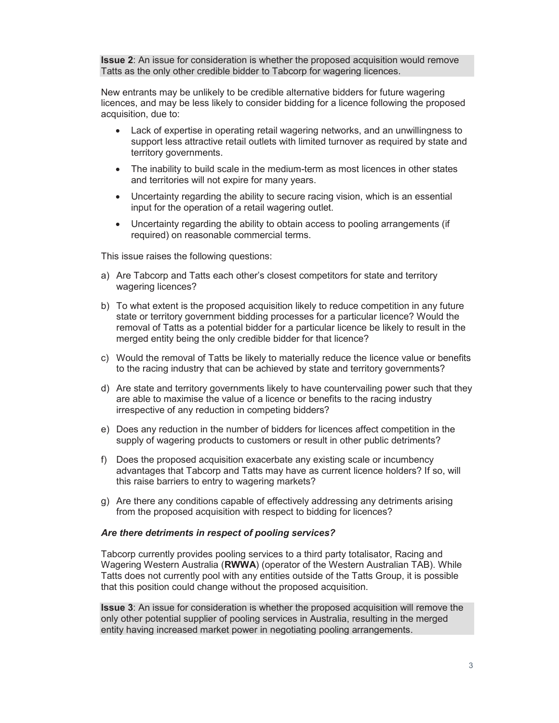**Issue 2**: An issue for consideration is whether the proposed acquisition would remove Tatts as the only other credible bidder to Tabcorp for wagering licences.

New entrants may be unlikely to be credible alternative bidders for future wagering licences, and may be less likely to consider bidding for a licence following the proposed acquisition, due to:

- · Lack of expertise in operating retail wagering networks, and an unwillingness to support less attractive retail outlets with limited turnover as required by state and territory governments.
- · The inability to build scale in the medium-term as most licences in other states and territories will not expire for many years.
- · Uncertainty regarding the ability to secure racing vision, which is an essential input for the operation of a retail wagering outlet.
- · Uncertainty regarding the ability to obtain access to pooling arrangements (if required) on reasonable commercial terms.

This issue raises the following questions:

- a) Are Tabcorp and Tatts each other's closest competitors for state and territory wagering licences?
- b) To what extent is the proposed acquisition likely to reduce competition in any future state or territory government bidding processes for a particular licence? Would the removal of Tatts as a potential bidder for a particular licence be likely to result in the merged entity being the only credible bidder for that licence?
- c) Would the removal of Tatts be likely to materially reduce the licence value or benefits to the racing industry that can be achieved by state and territory governments?
- d) Are state and territory governments likely to have countervailing power such that they are able to maximise the value of a licence or benefits to the racing industry irrespective of any reduction in competing bidders?
- e) Does any reduction in the number of bidders for licences affect competition in the supply of wagering products to customers or result in other public detriments?
- f) Does the proposed acquisition exacerbate any existing scale or incumbency advantages that Tabcorp and Tatts may have as current licence holders? If so, will this raise barriers to entry to wagering markets?
- g) Are there any conditions capable of effectively addressing any detriments arising from the proposed acquisition with respect to bidding for licences?

#### *Are there detriments in respect of pooling services?*

Tabcorp currently provides pooling services to a third party totalisator, Racing and Wagering Western Australia (**RWWA**) (operator of the Western Australian TAB). While Tatts does not currently pool with any entities outside of the Tatts Group, it is possible that this position could change without the proposed acquisition.

**Issue 3**: An issue for consideration is whether the proposed acquisition will remove the only other potential supplier of pooling services in Australia, resulting in the merged entity having increased market power in negotiating pooling arrangements.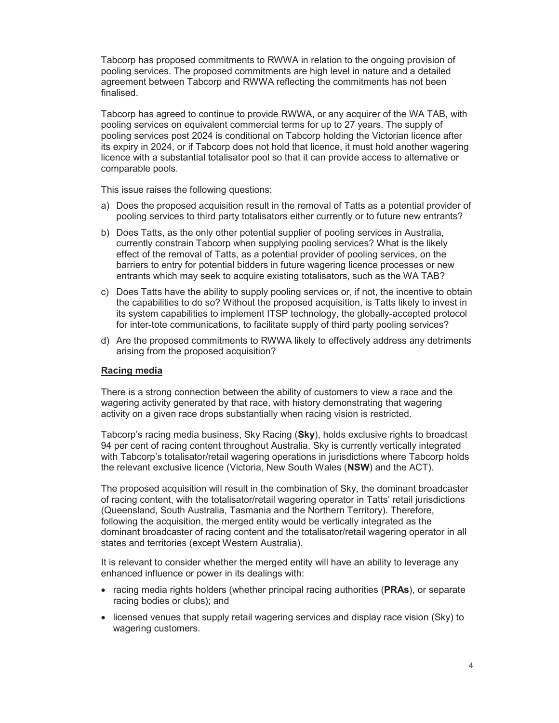Tabcorp has proposed commitments to RWWA in relation to the ongoing provision of pooling services. The proposed commitments are high level in nature and a detailed agreement between Tabcorp and RWWA reflecting the commitments has not been finalised.

Tabcorp has agreed to continue to provide RWWA, or any acquirer of the WA TAB, with pooling services on equivalent commercial terms for up to 27 years. The supply of pooling services post 2024 is conditional on Tabcorp holding the Victorian licence after its expiry in 2024, or if Tabcorp does not hold that licence, it must hold another wagering licence with a substantial totalisator pool so that it can provide access to alternative or comparable pools.

This issue raises the following questions:

- a) Does the proposed acquisition result in the removal of Tatts as a potential provider of pooling services to third party totalisators either currently or to future new entrants?
- b) Does Tatts, as the only other potential supplier of pooling services in Australia, currently constrain Tabcorp when supplying pooling services? What is the likely effect of the removal of Tatts, as a potential provider of pooling services, on the barriers to entry for potential bidders in future wagering licence processes or new entrants which may seek to acquire existing totalisators, such as the WA TAB?
- c) Does Tatts have the ability to supply pooling services or, if not, the incentive to obtain the capabilities to do so? Without the proposed acquisition, is Tatts likely to invest in its system capabilities to implement ITSP technology, the globally-accepted protocol for inter-tote communications, to facilitate supply of third party pooling services?
- d) Are the proposed commitments to RWWA likely to effectively address any detriments arising from the proposed acquisition?

#### **Racing media**

There is a strong connection between the ability of customers to view a race and the wagering activity generated by that race, with history demonstrating that wagering activity on a given race drops substantially when racing vision is restricted.

Tabcorp's racing media business, Sky Racing (**Sky**), holds exclusive rights to broadcast 94 per cent of racing content throughout Australia. Sky is currently vertically integrated with Tabcorp's totalisator/retail wagering operations in jurisdictions where Tabcorp holds the relevant exclusive licence (Victoria, New South Wales (**NSW**) and the ACT).

The proposed acquisition will result in the combination of Sky, the dominant broadcaster of racing content, with the totalisator/retail wagering operator in Tatts' retail jurisdictions (Queensland, South Australia, Tasmania and the Northern Territory). Therefore, following the acquisition, the merged entity would be vertically integrated as the dominant broadcaster of racing content and the totalisator/retail wagering operator in all states and territories (except Western Australia).

It is relevant to consider whether the merged entity will have an ability to leverage any enhanced influence or power in its dealings with:

- · racing media rights holders (whether principal racing authorities (**PRAs**), or separate racing bodies or clubs); and
- · licensed venues that supply retail wagering services and display race vision (Sky) to wagering customers.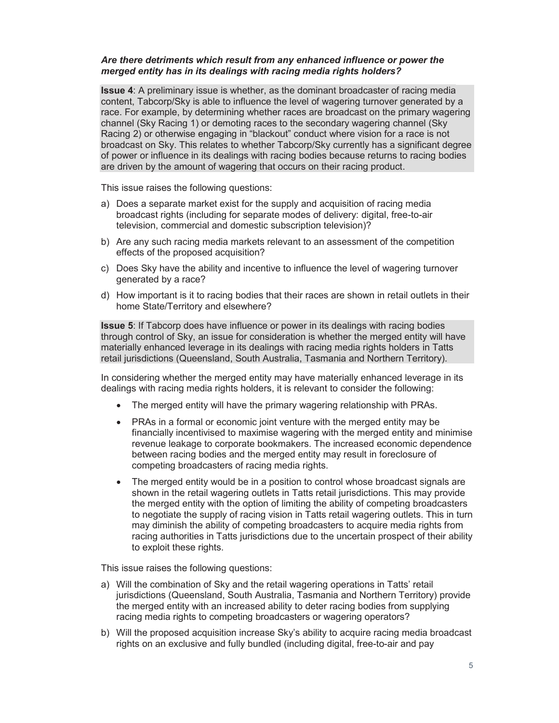### *Are there detriments which result from any enhanced influence or power the merged entity has in its dealings with racing media rights holders?*

**Issue 4**: A preliminary issue is whether, as the dominant broadcaster of racing media content, Tabcorp/Sky is able to influence the level of wagering turnover generated by a race. For example, by determining whether races are broadcast on the primary wagering channel (Sky Racing 1) or demoting races to the secondary wagering channel (Sky Racing 2) or otherwise engaging in "blackout" conduct where vision for a race is not broadcast on Sky. This relates to whether Tabcorp/Sky currently has a significant degree of power or influence in its dealings with racing bodies because returns to racing bodies are driven by the amount of wagering that occurs on their racing product.

This issue raises the following questions:

- a) Does a separate market exist for the supply and acquisition of racing media broadcast rights (including for separate modes of delivery: digital, free-to-air television, commercial and domestic subscription television)?
- b) Are any such racing media markets relevant to an assessment of the competition effects of the proposed acquisition?
- c) Does Sky have the ability and incentive to influence the level of wagering turnover generated by a race?
- d) How important is it to racing bodies that their races are shown in retail outlets in their home State/Territory and elsewhere?

**Issue 5**: If Tabcorp does have influence or power in its dealings with racing bodies through control of Sky, an issue for consideration is whether the merged entity will have materially enhanced leverage in its dealings with racing media rights holders in Tatts retail jurisdictions (Queensland, South Australia, Tasmania and Northern Territory).

In considering whether the merged entity may have materially enhanced leverage in its dealings with racing media rights holders, it is relevant to consider the following:

- · The merged entity will have the primary wagering relationship with PRAs.
- · PRAs in a formal or economic joint venture with the merged entity may be financially incentivised to maximise wagering with the merged entity and minimise revenue leakage to corporate bookmakers. The increased economic dependence between racing bodies and the merged entity may result in foreclosure of competing broadcasters of racing media rights.
- The merged entity would be in a position to control whose broadcast signals are shown in the retail wagering outlets in Tatts retail jurisdictions. This may provide the merged entity with the option of limiting the ability of competing broadcasters to negotiate the supply of racing vision in Tatts retail wagering outlets. This in turn may diminish the ability of competing broadcasters to acquire media rights from racing authorities in Tatts jurisdictions due to the uncertain prospect of their ability to exploit these rights.

This issue raises the following questions:

- a) Will the combination of Sky and the retail wagering operations in Tatts' retail jurisdictions (Queensland, South Australia, Tasmania and Northern Territory) provide the merged entity with an increased ability to deter racing bodies from supplying racing media rights to competing broadcasters or wagering operators?
- b) Will the proposed acquisition increase Sky's ability to acquire racing media broadcast rights on an exclusive and fully bundled (including digital, free-to-air and pay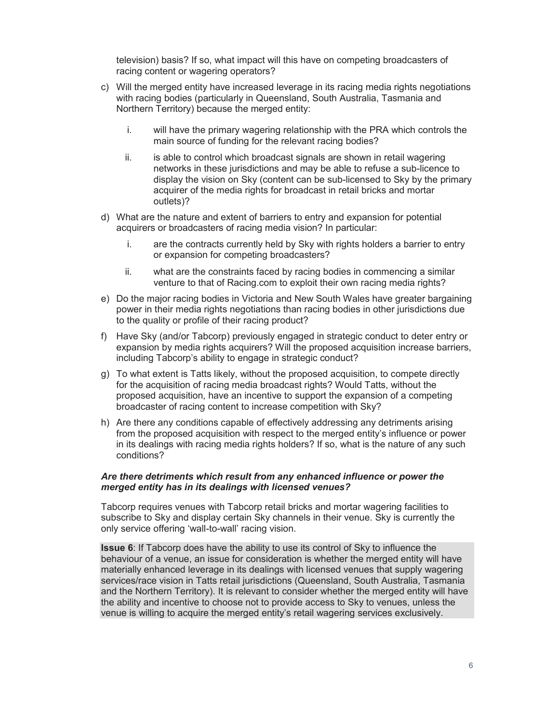television) basis? If so, what impact will this have on competing broadcasters of racing content or wagering operators?

- c) Will the merged entity have increased leverage in its racing media rights negotiations with racing bodies (particularly in Queensland, South Australia, Tasmania and Northern Territory) because the merged entity:
	- i. will have the primary wagering relationship with the PRA which controls the main source of funding for the relevant racing bodies?
	- ii. is able to control which broadcast signals are shown in retail wagering networks in these jurisdictions and may be able to refuse a sub-licence to display the vision on Sky (content can be sub-licensed to Sky by the primary acquirer of the media rights for broadcast in retail bricks and mortar outlets)?
- d) What are the nature and extent of barriers to entry and expansion for potential acquirers or broadcasters of racing media vision? In particular:
	- i. are the contracts currently held by Sky with rights holders a barrier to entry or expansion for competing broadcasters?
	- ii. what are the constraints faced by racing bodies in commencing a similar venture to that of Racing.com to exploit their own racing media rights?
- e) Do the major racing bodies in Victoria and New South Wales have greater bargaining power in their media rights negotiations than racing bodies in other jurisdictions due to the quality or profile of their racing product?
- f) Have Sky (and/or Tabcorp) previously engaged in strategic conduct to deter entry or expansion by media rights acquirers? Will the proposed acquisition increase barriers, including Tabcorp's ability to engage in strategic conduct?
- g) To what extent is Tatts likely, without the proposed acquisition, to compete directly for the acquisition of racing media broadcast rights? Would Tatts, without the proposed acquisition, have an incentive to support the expansion of a competing broadcaster of racing content to increase competition with Sky?
- h) Are there any conditions capable of effectively addressing any detriments arising from the proposed acquisition with respect to the merged entity's influence or power in its dealings with racing media rights holders? If so, what is the nature of any such conditions?

### *Are there detriments which result from any enhanced influence or power the merged entity has in its dealings with licensed venues?*

Tabcorp requires venues with Tabcorp retail bricks and mortar wagering facilities to subscribe to Sky and display certain Sky channels in their venue. Sky is currently the only service offering 'wall-to-wall' racing vision.

**Issue 6**: If Tabcorp does have the ability to use its control of Sky to influence the behaviour of a venue, an issue for consideration is whether the merged entity will have materially enhanced leverage in its dealings with licensed venues that supply wagering services/race vision in Tatts retail jurisdictions (Queensland, South Australia, Tasmania and the Northern Territory). It is relevant to consider whether the merged entity will have the ability and incentive to choose not to provide access to Sky to venues, unless the venue is willing to acquire the merged entity's retail wagering services exclusively.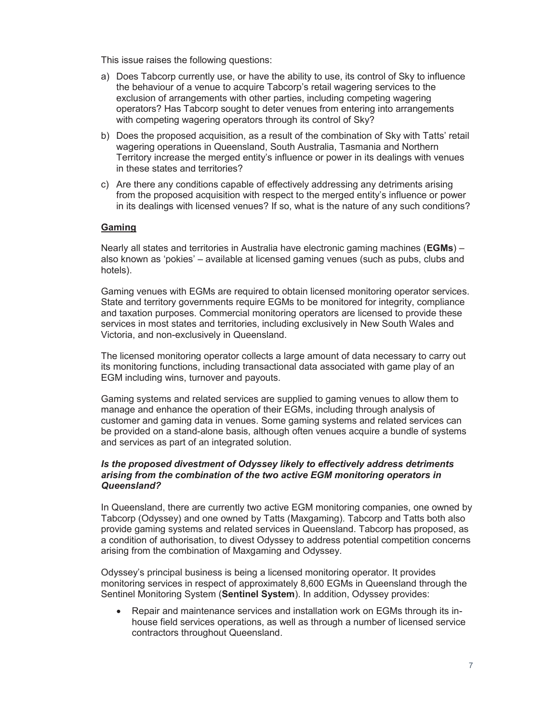This issue raises the following questions:

- a) Does Tabcorp currently use, or have the ability to use, its control of Sky to influence the behaviour of a venue to acquire Tabcorp's retail wagering services to the exclusion of arrangements with other parties, including competing wagering operators? Has Tabcorp sought to deter venues from entering into arrangements with competing wagering operators through its control of Sky?
- b) Does the proposed acquisition, as a result of the combination of Sky with Tatts' retail wagering operations in Queensland, South Australia, Tasmania and Northern Territory increase the merged entity's influence or power in its dealings with venues in these states and territories?
- c) Are there any conditions capable of effectively addressing any detriments arising from the proposed acquisition with respect to the merged entity's influence or power in its dealings with licensed venues? If so, what is the nature of any such conditions?

#### **Gaming**

Nearly all states and territories in Australia have electronic gaming machines (**EGMs**) – also known as 'pokies' – available at licensed gaming venues (such as pubs, clubs and hotels).

Gaming venues with EGMs are required to obtain licensed monitoring operator services. State and territory governments require EGMs to be monitored for integrity, compliance and taxation purposes. Commercial monitoring operators are licensed to provide these services in most states and territories, including exclusively in New South Wales and Victoria, and non-exclusively in Queensland.

The licensed monitoring operator collects a large amount of data necessary to carry out its monitoring functions, including transactional data associated with game play of an EGM including wins, turnover and payouts.

Gaming systems and related services are supplied to gaming venues to allow them to manage and enhance the operation of their EGMs, including through analysis of customer and gaming data in venues. Some gaming systems and related services can be provided on a stand-alone basis, although often venues acquire a bundle of systems and services as part of an integrated solution.

#### *Is the proposed divestment of Odyssey likely to effectively address detriments arising from the combination of the two active EGM monitoring operators in Queensland?*

In Queensland, there are currently two active EGM monitoring companies, one owned by Tabcorp (Odyssey) and one owned by Tatts (Maxgaming). Tabcorp and Tatts both also provide gaming systems and related services in Queensland. Tabcorp has proposed, as a condition of authorisation, to divest Odyssey to address potential competition concerns arising from the combination of Maxgaming and Odyssey.

Odyssey's principal business is being a licensed monitoring operator. It provides monitoring services in respect of approximately 8,600 EGMs in Queensland through the Sentinel Monitoring System (**Sentinel System**). In addition, Odyssey provides:

· Repair and maintenance services and installation work on EGMs through its inhouse field services operations, as well as through a number of licensed service contractors throughout Queensland.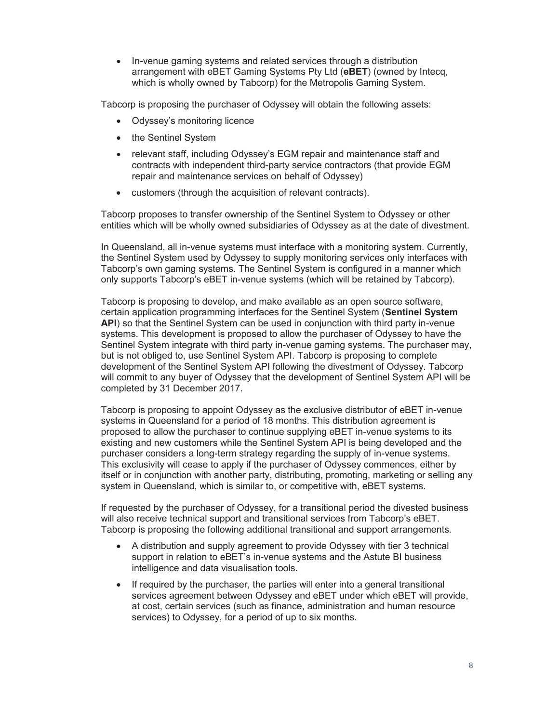· In-venue gaming systems and related services through a distribution arrangement with eBET Gaming Systems Pty Ltd (**eBET**) (owned by Intecq, which is wholly owned by Tabcorp) for the Metropolis Gaming System.

Tabcorp is proposing the purchaser of Odyssey will obtain the following assets:

- · Odyssey's monitoring licence
- the Sentinel System
- relevant staff, including Odyssey's EGM repair and maintenance staff and contracts with independent third-party service contractors (that provide EGM repair and maintenance services on behalf of Odyssey)
- customers (through the acquisition of relevant contracts).

Tabcorp proposes to transfer ownership of the Sentinel System to Odyssey or other entities which will be wholly owned subsidiaries of Odyssey as at the date of divestment.

In Queensland, all in-venue systems must interface with a monitoring system. Currently, the Sentinel System used by Odyssey to supply monitoring services only interfaces with Tabcorp's own gaming systems. The Sentinel System is configured in a manner which only supports Tabcorp's eBET in-venue systems (which will be retained by Tabcorp).

Tabcorp is proposing to develop, and make available as an open source software, certain application programming interfaces for the Sentinel System (**Sentinel System API**) so that the Sentinel System can be used in conjunction with third party in-venue systems. This development is proposed to allow the purchaser of Odyssey to have the Sentinel System integrate with third party in-venue gaming systems. The purchaser may, but is not obliged to, use Sentinel System API. Tabcorp is proposing to complete development of the Sentinel System API following the divestment of Odyssey. Tabcorp will commit to any buyer of Odyssey that the development of Sentinel System API will be completed by 31 December 2017.

Tabcorp is proposing to appoint Odyssey as the exclusive distributor of eBET in-venue systems in Queensland for a period of 18 months. This distribution agreement is proposed to allow the purchaser to continue supplying eBET in-venue systems to its existing and new customers while the Sentinel System API is being developed and the purchaser considers a long-term strategy regarding the supply of in-venue systems. This exclusivity will cease to apply if the purchaser of Odyssey commences, either by itself or in conjunction with another party, distributing, promoting, marketing or selling any system in Queensland, which is similar to, or competitive with, eBET systems.

If requested by the purchaser of Odyssey, for a transitional period the divested business will also receive technical support and transitional services from Tabcorp's eBET. Tabcorp is proposing the following additional transitional and support arrangements.

- · A distribution and supply agreement to provide Odyssey with tier 3 technical support in relation to eBET's in-venue systems and the Astute BI business intelligence and data visualisation tools.
- If required by the purchaser, the parties will enter into a general transitional services agreement between Odyssey and eBET under which eBET will provide, at cost, certain services (such as finance, administration and human resource services) to Odyssey, for a period of up to six months.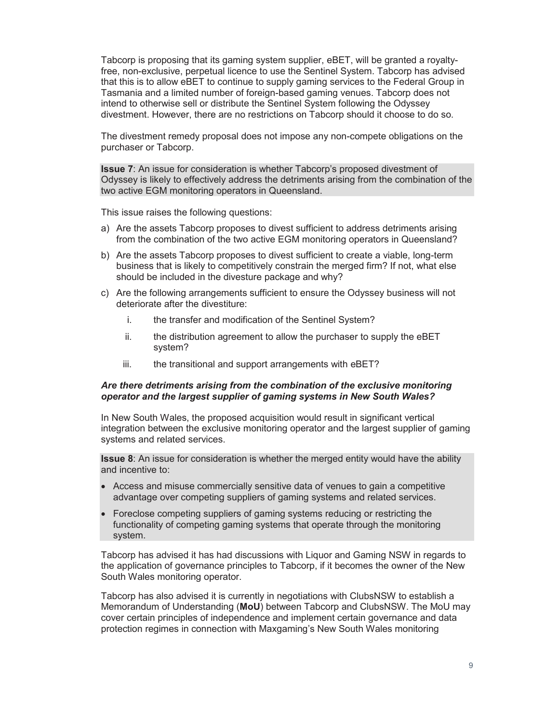Tabcorp is proposing that its gaming system supplier, eBET, will be granted a royaltyfree, non-exclusive, perpetual licence to use the Sentinel System. Tabcorp has advised that this is to allow eBET to continue to supply gaming services to the Federal Group in Tasmania and a limited number of foreign-based gaming venues. Tabcorp does not intend to otherwise sell or distribute the Sentinel System following the Odyssey divestment. However, there are no restrictions on Tabcorp should it choose to do so.

The divestment remedy proposal does not impose any non-compete obligations on the purchaser or Tabcorp.

**Issue 7**: An issue for consideration is whether Tabcorp's proposed divestment of Odyssey is likely to effectively address the detriments arising from the combination of the two active EGM monitoring operators in Queensland.

This issue raises the following questions:

- a) Are the assets Tabcorp proposes to divest sufficient to address detriments arising from the combination of the two active EGM monitoring operators in Queensland?
- b) Are the assets Tabcorp proposes to divest sufficient to create a viable, long-term business that is likely to competitively constrain the merged firm? If not, what else should be included in the divesture package and why?
- c) Are the following arrangements sufficient to ensure the Odyssey business will not deteriorate after the divestiture:
	- i. the transfer and modification of the Sentinel System?
	- ii. the distribution agreement to allow the purchaser to supply the eBET system?
	- iii. the transitional and support arrangements with eBET?

#### *Are there detriments arising from the combination of the exclusive monitoring operator and the largest supplier of gaming systems in New South Wales?*

In New South Wales, the proposed acquisition would result in significant vertical integration between the exclusive monitoring operator and the largest supplier of gaming systems and related services.

**Issue 8**: An issue for consideration is whether the merged entity would have the ability and incentive to:

- · Access and misuse commercially sensitive data of venues to gain a competitive advantage over competing suppliers of gaming systems and related services.
- · Foreclose competing suppliers of gaming systems reducing or restricting the functionality of competing gaming systems that operate through the monitoring system.

Tabcorp has advised it has had discussions with Liquor and Gaming NSW in regards to the application of governance principles to Tabcorp, if it becomes the owner of the New South Wales monitoring operator.

Tabcorp has also advised it is currently in negotiations with ClubsNSW to establish a Memorandum of Understanding (**MoU**) between Tabcorp and ClubsNSW. The MoU may cover certain principles of independence and implement certain governance and data protection regimes in connection with Maxgaming's New South Wales monitoring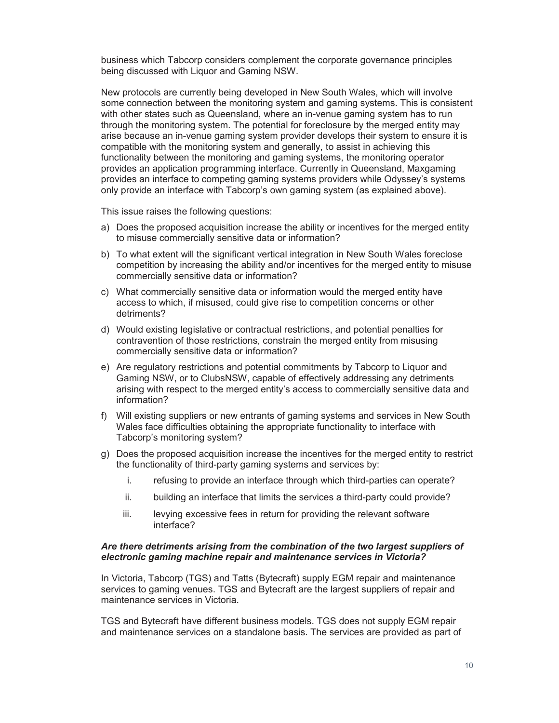business which Tabcorp considers complement the corporate governance principles being discussed with Liquor and Gaming NSW.

New protocols are currently being developed in New South Wales, which will involve some connection between the monitoring system and gaming systems. This is consistent with other states such as Queensland, where an in-venue gaming system has to run through the monitoring system. The potential for foreclosure by the merged entity may arise because an in-venue gaming system provider develops their system to ensure it is compatible with the monitoring system and generally, to assist in achieving this functionality between the monitoring and gaming systems, the monitoring operator provides an application programming interface. Currently in Queensland, Maxgaming provides an interface to competing gaming systems providers while Odyssey's systems only provide an interface with Tabcorp's own gaming system (as explained above).

This issue raises the following questions:

- a) Does the proposed acquisition increase the ability or incentives for the merged entity to misuse commercially sensitive data or information?
- b) To what extent will the significant vertical integration in New South Wales foreclose competition by increasing the ability and/or incentives for the merged entity to misuse commercially sensitive data or information?
- c) What commercially sensitive data or information would the merged entity have access to which, if misused, could give rise to competition concerns or other detriments?
- d) Would existing legislative or contractual restrictions, and potential penalties for contravention of those restrictions, constrain the merged entity from misusing commercially sensitive data or information?
- e) Are regulatory restrictions and potential commitments by Tabcorp to Liquor and Gaming NSW, or to ClubsNSW, capable of effectively addressing any detriments arising with respect to the merged entity's access to commercially sensitive data and information?
- f) Will existing suppliers or new entrants of gaming systems and services in New South Wales face difficulties obtaining the appropriate functionality to interface with Tabcorp's monitoring system?
- g) Does the proposed acquisition increase the incentives for the merged entity to restrict the functionality of third-party gaming systems and services by:
	- i. refusing to provide an interface through which third-parties can operate?
	- ii. building an interface that limits the services a third-party could provide?
	- iii. levying excessive fees in return for providing the relevant software interface?

#### *Are there detriments arising from the combination of the two largest suppliers of electronic gaming machine repair and maintenance services in Victoria?*

In Victoria, Tabcorp (TGS) and Tatts (Bytecraft) supply EGM repair and maintenance services to gaming venues. TGS and Bytecraft are the largest suppliers of repair and maintenance services in Victoria.

TGS and Bytecraft have different business models. TGS does not supply EGM repair and maintenance services on a standalone basis. The services are provided as part of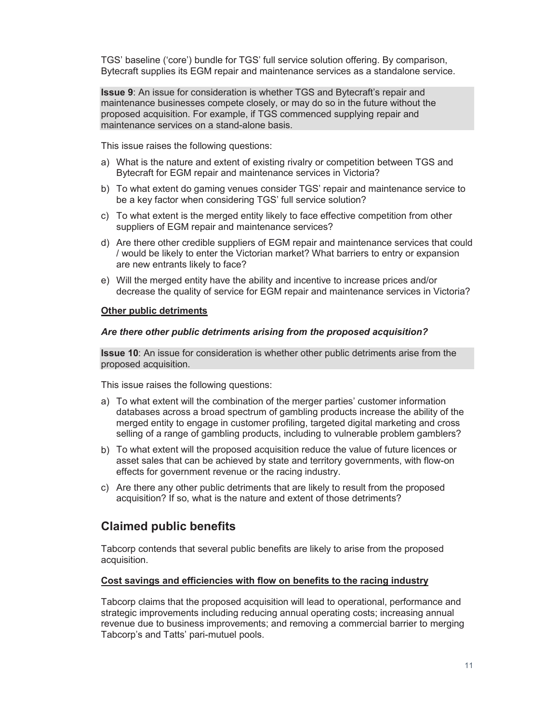TGS' baseline ('core') bundle for TGS' full service solution offering. By comparison, Bytecraft supplies its EGM repair and maintenance services as a standalone service.

**Issue 9**: An issue for consideration is whether TGS and Bytecraft's repair and maintenance businesses compete closely, or may do so in the future without the proposed acquisition. For example, if TGS commenced supplying repair and maintenance services on a stand-alone basis.

This issue raises the following questions:

- a) What is the nature and extent of existing rivalry or competition between TGS and Bytecraft for EGM repair and maintenance services in Victoria?
- b) To what extent do gaming venues consider TGS' repair and maintenance service to be a key factor when considering TGS' full service solution?
- c) To what extent is the merged entity likely to face effective competition from other suppliers of EGM repair and maintenance services?
- d) Are there other credible suppliers of EGM repair and maintenance services that could / would be likely to enter the Victorian market? What barriers to entry or expansion are new entrants likely to face?
- e) Will the merged entity have the ability and incentive to increase prices and/or decrease the quality of service for EGM repair and maintenance services in Victoria?

#### **Other public detriments**

#### *Are there other public detriments arising from the proposed acquisition?*

**Issue 10**: An issue for consideration is whether other public detriments arise from the proposed acquisition.

This issue raises the following questions:

- a) To what extent will the combination of the merger parties' customer information databases across a broad spectrum of gambling products increase the ability of the merged entity to engage in customer profiling, targeted digital marketing and cross selling of a range of gambling products, including to vulnerable problem gamblers?
- b) To what extent will the proposed acquisition reduce the value of future licences or asset sales that can be achieved by state and territory governments, with flow-on effects for government revenue or the racing industry.
- c) Are there any other public detriments that are likely to result from the proposed acquisition? If so, what is the nature and extent of those detriments?

# **Claimed public benefits**

Tabcorp contends that several public benefits are likely to arise from the proposed acquisition.

#### **Cost savings and efficiencies with flow on benefits to the racing industry**

Tabcorp claims that the proposed acquisition will lead to operational, performance and strategic improvements including reducing annual operating costs; increasing annual revenue due to business improvements; and removing a commercial barrier to merging Tabcorp's and Tatts' pari-mutuel pools.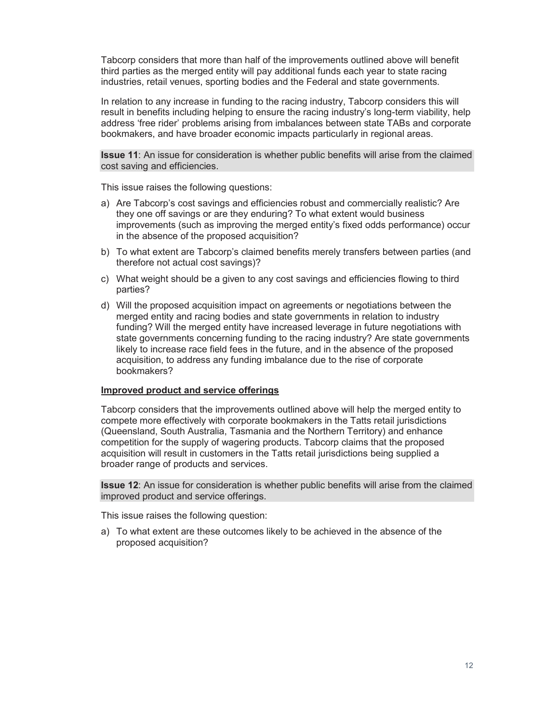Tabcorp considers that more than half of the improvements outlined above will benefit third parties as the merged entity will pay additional funds each year to state racing industries, retail venues, sporting bodies and the Federal and state governments.

In relation to any increase in funding to the racing industry, Tabcorp considers this will result in benefits including helping to ensure the racing industry's long-term viability, help address 'free rider' problems arising from imbalances between state TABs and corporate bookmakers, and have broader economic impacts particularly in regional areas.

**Issue 11**: An issue for consideration is whether public benefits will arise from the claimed cost saving and efficiencies.

This issue raises the following questions:

- a) Are Tabcorp's cost savings and efficiencies robust and commercially realistic? Are they one off savings or are they enduring? To what extent would business improvements (such as improving the merged entity's fixed odds performance) occur in the absence of the proposed acquisition?
- b) To what extent are Tabcorp's claimed benefits merely transfers between parties (and therefore not actual cost savings)?
- c) What weight should be a given to any cost savings and efficiencies flowing to third parties?
- d) Will the proposed acquisition impact on agreements or negotiations between the merged entity and racing bodies and state governments in relation to industry funding? Will the merged entity have increased leverage in future negotiations with state governments concerning funding to the racing industry? Are state governments likely to increase race field fees in the future, and in the absence of the proposed acquisition, to address any funding imbalance due to the rise of corporate bookmakers?

#### **Improved product and service offerings**

Tabcorp considers that the improvements outlined above will help the merged entity to compete more effectively with corporate bookmakers in the Tatts retail jurisdictions (Queensland, South Australia, Tasmania and the Northern Territory) and enhance competition for the supply of wagering products. Tabcorp claims that the proposed acquisition will result in customers in the Tatts retail jurisdictions being supplied a broader range of products and services.

**Issue 12**: An issue for consideration is whether public benefits will arise from the claimed improved product and service offerings.

This issue raises the following question:

a) To what extent are these outcomes likely to be achieved in the absence of the proposed acquisition?